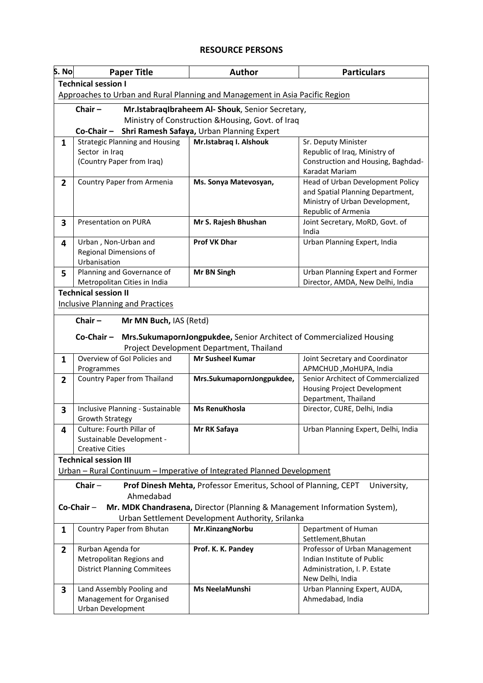## **RESOURCE PERSONS**

| S. No                                                                                       | <b>Paper Title</b>                                | <b>Author</b>                                                        | <b>Particulars</b>                       |  |  |
|---------------------------------------------------------------------------------------------|---------------------------------------------------|----------------------------------------------------------------------|------------------------------------------|--|--|
|                                                                                             | <b>Technical session I</b>                        |                                                                      |                                          |  |  |
| Approaches to Urban and Rural Planning and Management in Asia Pacific Region                |                                                   |                                                                      |                                          |  |  |
|                                                                                             | Chair $-$                                         | Mr.IstabraqIbraheem Al- Shouk, Senior Secretary,                     |                                          |  |  |
|                                                                                             | Ministry of Construction & Housing, Govt. of Iraq |                                                                      |                                          |  |  |
| Shri Ramesh Safaya, Urban Planning Expert<br>Co-Chair-                                      |                                                   |                                                                      |                                          |  |  |
| 1                                                                                           | <b>Strategic Planning and Housing</b>             | Mr.Istabraq I. Alshouk                                               | Sr. Deputy Minister                      |  |  |
|                                                                                             | Sector in Iraq                                    |                                                                      | Republic of Iraq, Ministry of            |  |  |
|                                                                                             | (Country Paper from Iraq)                         |                                                                      | Construction and Housing, Baghdad-       |  |  |
|                                                                                             |                                                   |                                                                      | Karadat Mariam                           |  |  |
| $2^{\circ}$                                                                                 | Country Paper from Armenia                        | Ms. Sonya Matevosyan,                                                | Head of Urban Development Policy         |  |  |
|                                                                                             |                                                   |                                                                      | and Spatial Planning Department,         |  |  |
|                                                                                             |                                                   |                                                                      | Ministry of Urban Development,           |  |  |
|                                                                                             |                                                   |                                                                      | Republic of Armenia                      |  |  |
| 3                                                                                           | Presentation on PURA                              | Mr S. Rajesh Bhushan                                                 | Joint Secretary, MoRD, Govt. of<br>India |  |  |
|                                                                                             | Urban, Non-Urban and                              | <b>Prof VK Dhar</b>                                                  | Urban Planning Expert, India             |  |  |
| 4                                                                                           | Regional Dimensions of                            |                                                                      |                                          |  |  |
|                                                                                             | Urbanisation                                      |                                                                      |                                          |  |  |
| 5                                                                                           | Planning and Governance of                        | Mr BN Singh                                                          | Urban Planning Expert and Former         |  |  |
|                                                                                             | Metropolitan Cities in India                      |                                                                      | Director, AMDA, New Delhi, India         |  |  |
|                                                                                             | <b>Technical session II</b>                       |                                                                      |                                          |  |  |
|                                                                                             | <b>Inclusive Planning and Practices</b>           |                                                                      |                                          |  |  |
|                                                                                             |                                                   |                                                                      |                                          |  |  |
|                                                                                             | Chair $-$<br>Mr MN Buch, IAS (Retd)               |                                                                      |                                          |  |  |
|                                                                                             | Co-Chair-                                         | Mrs.SukumapornJongpukdee, Senior Architect of Commercialized Housing |                                          |  |  |
|                                                                                             |                                                   | Project Development Department, Thailand                             |                                          |  |  |
| $\mathbf{1}$                                                                                | Overview of Gol Policies and                      | <b>Mr Susheel Kumar</b>                                              | Joint Secretary and Coordinator          |  |  |
|                                                                                             | Programmes                                        |                                                                      | APMCHUD, MoHUPA, India                   |  |  |
| $\overline{2}$                                                                              | <b>Country Paper from Thailand</b>                | Mrs.SukumapornJongpukdee,                                            | Senior Architect of Commercialized       |  |  |
|                                                                                             |                                                   |                                                                      | <b>Housing Project Development</b>       |  |  |
|                                                                                             |                                                   |                                                                      | Department, Thailand                     |  |  |
| 3                                                                                           | Inclusive Planning - Sustainable                  | Ms RenuKhosla                                                        | Director, CURE, Delhi, India             |  |  |
|                                                                                             | <b>Growth Strategy</b>                            |                                                                      |                                          |  |  |
| 4                                                                                           | Culture: Fourth Pillar of                         | Mr RK Safaya                                                         | Urban Planning Expert, Delhi, India      |  |  |
|                                                                                             | Sustainable Development -                         |                                                                      |                                          |  |  |
|                                                                                             | <b>Creative Cities</b>                            |                                                                      |                                          |  |  |
| <b>Technical session III</b>                                                                |                                                   |                                                                      |                                          |  |  |
| Urban - Rural Continuum - Imperative of Integrated Planned Development                      |                                                   |                                                                      |                                          |  |  |
| Chair $-$<br>Prof Dinesh Mehta, Professor Emeritus, School of Planning, CEPT<br>University, |                                                   |                                                                      |                                          |  |  |
| Ahmedabad                                                                                   |                                                   |                                                                      |                                          |  |  |
| Co-Chair-<br>Mr. MDK Chandrasena, Director (Planning & Management Information System),      |                                                   |                                                                      |                                          |  |  |
| Urban Settlement Development Authority, Srilanka                                            |                                                   |                                                                      |                                          |  |  |
| $\mathbf{1}$                                                                                | Country Paper from Bhutan                         | Mr.KinzangNorbu                                                      | Department of Human                      |  |  |
|                                                                                             |                                                   |                                                                      | Settlement, Bhutan                       |  |  |
| $\overline{2}$                                                                              | Rurban Agenda for                                 | Prof. K. K. Pandey                                                   | Professor of Urban Management            |  |  |
|                                                                                             | Metropolitan Regions and                          |                                                                      | Indian Institute of Public               |  |  |
|                                                                                             | <b>District Planning Commitees</b>                |                                                                      | Administration, I. P. Estate             |  |  |
|                                                                                             |                                                   |                                                                      | New Delhi, India                         |  |  |
| 3                                                                                           | Land Assembly Pooling and                         | Ms NeelaMunshi                                                       | Urban Planning Expert, AUDA,             |  |  |
|                                                                                             | Management for Organised                          |                                                                      | Ahmedabad, India                         |  |  |
|                                                                                             | Urban Development                                 |                                                                      |                                          |  |  |